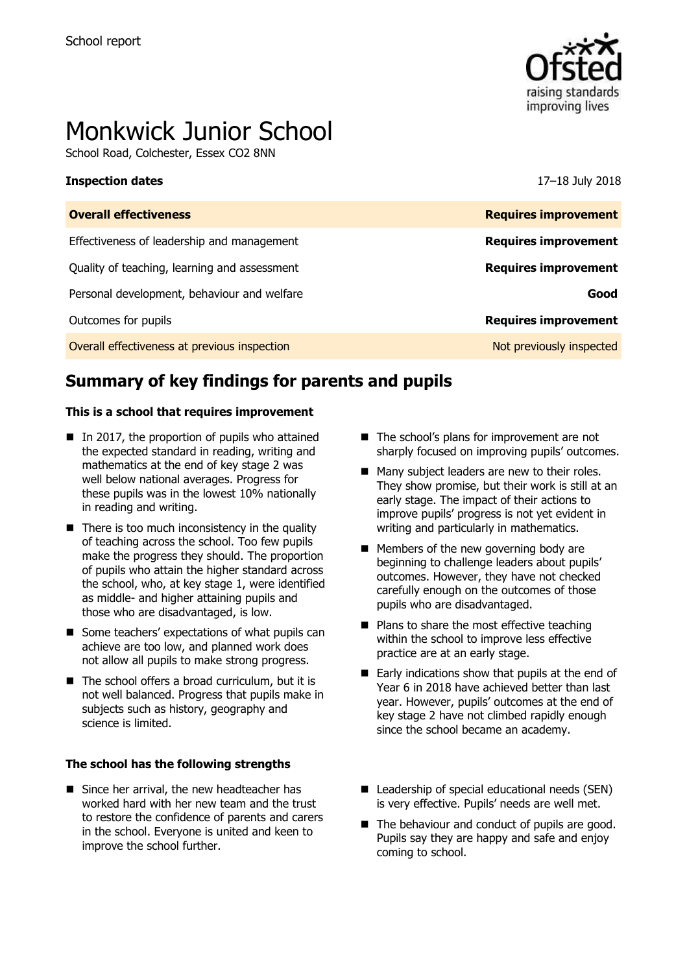

# Monkwick Junior School

School Road, Colchester, Essex CO2 8NN

### **Inspection dates** 17–18 July 2018

| <b>Overall effectiveness</b>                 | <b>Requires improvement</b> |
|----------------------------------------------|-----------------------------|
| Effectiveness of leadership and management   | <b>Requires improvement</b> |
| Quality of teaching, learning and assessment | <b>Requires improvement</b> |
| Personal development, behaviour and welfare  | Good                        |
| Outcomes for pupils                          | <b>Requires improvement</b> |
| Overall effectiveness at previous inspection | Not previously inspected    |

# **Summary of key findings for parents and pupils**

### **This is a school that requires improvement**

- $\blacksquare$  In 2017, the proportion of pupils who attained the expected standard in reading, writing and mathematics at the end of key stage 2 was well below national averages. Progress for these pupils was in the lowest 10% nationally in reading and writing.
- $\blacksquare$  There is too much inconsistency in the quality of teaching across the school. Too few pupils make the progress they should. The proportion of pupils who attain the higher standard across the school, who, at key stage 1, were identified as middle- and higher attaining pupils and those who are disadvantaged, is low.
- Some teachers' expectations of what pupils can achieve are too low, and planned work does not allow all pupils to make strong progress.
- $\blacksquare$  The school offers a broad curriculum, but it is not well balanced. Progress that pupils make in subjects such as history, geography and science is limited.

### **The school has the following strengths**

Since her arrival, the new headteacher has worked hard with her new team and the trust to restore the confidence of parents and carers in the school. Everyone is united and keen to improve the school further.

- The school's plans for improvement are not sharply focused on improving pupils' outcomes.
- Many subject leaders are new to their roles. They show promise, but their work is still at an early stage. The impact of their actions to improve pupils' progress is not yet evident in writing and particularly in mathematics.
- **Members of the new governing body are** beginning to challenge leaders about pupils' outcomes. However, they have not checked carefully enough on the outcomes of those pupils who are disadvantaged.
- $\blacksquare$  Plans to share the most effective teaching within the school to improve less effective practice are at an early stage.
- $\blacksquare$  Early indications show that pupils at the end of Year 6 in 2018 have achieved better than last year. However, pupils' outcomes at the end of key stage 2 have not climbed rapidly enough since the school became an academy.
- Leadership of special educational needs (SEN) is very effective. Pupils' needs are well met.
- The behaviour and conduct of pupils are good. Pupils say they are happy and safe and enjoy coming to school.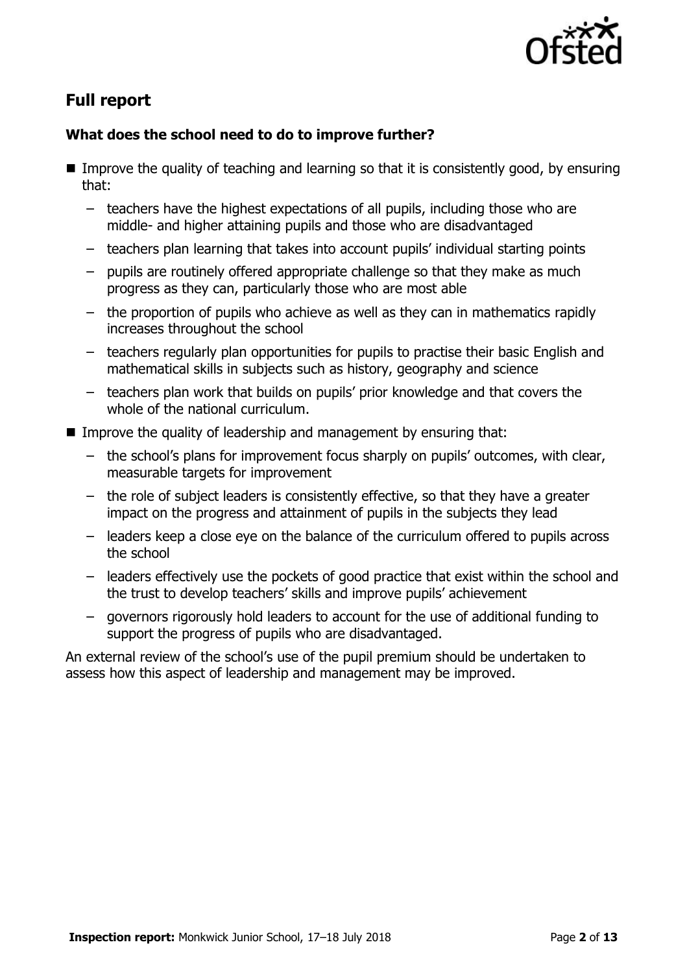

# **Full report**

### **What does the school need to do to improve further?**

- Improve the quality of teaching and learning so that it is consistently good, by ensuring that:
	- teachers have the highest expectations of all pupils, including those who are middle- and higher attaining pupils and those who are disadvantaged
	- teachers plan learning that takes into account pupils' individual starting points
	- pupils are routinely offered appropriate challenge so that they make as much progress as they can, particularly those who are most able
	- the proportion of pupils who achieve as well as they can in mathematics rapidly increases throughout the school
	- teachers regularly plan opportunities for pupils to practise their basic English and mathematical skills in subjects such as history, geography and science
	- teachers plan work that builds on pupils' prior knowledge and that covers the whole of the national curriculum.
- Improve the quality of leadership and management by ensuring that:
	- the school's plans for improvement focus sharply on pupils' outcomes, with clear, measurable targets for improvement
	- the role of subject leaders is consistently effective, so that they have a greater impact on the progress and attainment of pupils in the subjects they lead
	- leaders keep a close eye on the balance of the curriculum offered to pupils across the school
	- leaders effectively use the pockets of good practice that exist within the school and the trust to develop teachers' skills and improve pupils' achievement
	- governors rigorously hold leaders to account for the use of additional funding to support the progress of pupils who are disadvantaged.

An external review of the school's use of the pupil premium should be undertaken to assess how this aspect of leadership and management may be improved.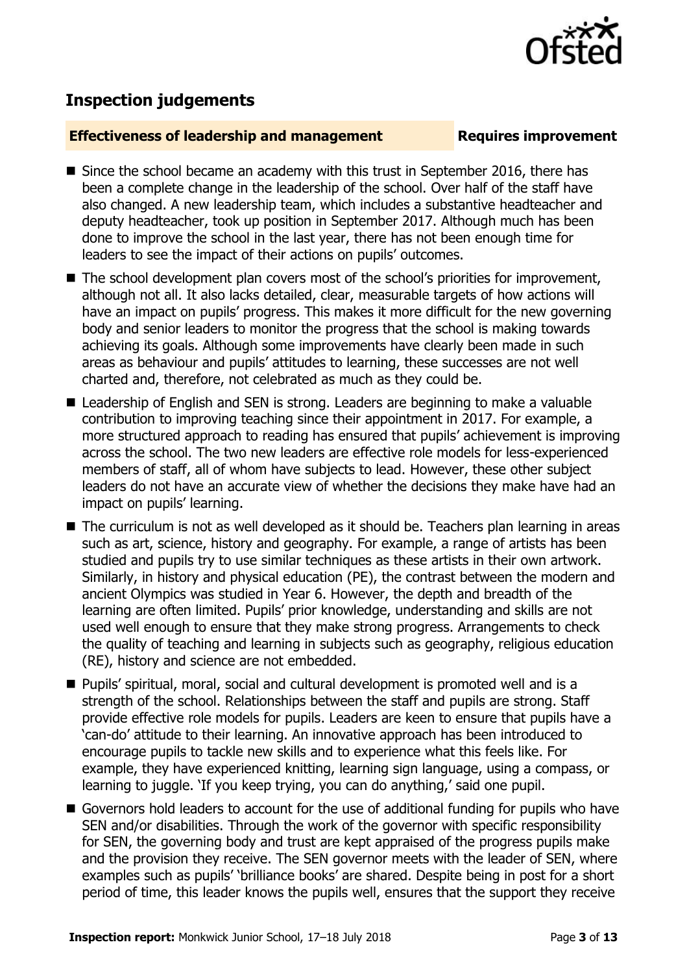

## **Inspection judgements**

### **Effectiveness of leadership and management Requires improvement**

- Since the school became an academy with this trust in September 2016, there has been a complete change in the leadership of the school. Over half of the staff have also changed. A new leadership team, which includes a substantive headteacher and deputy headteacher, took up position in September 2017. Although much has been done to improve the school in the last year, there has not been enough time for leaders to see the impact of their actions on pupils' outcomes.
- The school development plan covers most of the school's priorities for improvement, although not all. It also lacks detailed, clear, measurable targets of how actions will have an impact on pupils' progress. This makes it more difficult for the new governing body and senior leaders to monitor the progress that the school is making towards achieving its goals. Although some improvements have clearly been made in such areas as behaviour and pupils' attitudes to learning, these successes are not well charted and, therefore, not celebrated as much as they could be.
- Leadership of English and SEN is strong. Leaders are beginning to make a valuable contribution to improving teaching since their appointment in 2017. For example, a more structured approach to reading has ensured that pupils' achievement is improving across the school. The two new leaders are effective role models for less-experienced members of staff, all of whom have subjects to lead. However, these other subject leaders do not have an accurate view of whether the decisions they make have had an impact on pupils' learning.
- The curriculum is not as well developed as it should be. Teachers plan learning in areas such as art, science, history and geography. For example, a range of artists has been studied and pupils try to use similar techniques as these artists in their own artwork. Similarly, in history and physical education (PE), the contrast between the modern and ancient Olympics was studied in Year 6. However, the depth and breadth of the learning are often limited. Pupils' prior knowledge, understanding and skills are not used well enough to ensure that they make strong progress. Arrangements to check the quality of teaching and learning in subjects such as geography, religious education (RE), history and science are not embedded.
- Pupils' spiritual, moral, social and cultural development is promoted well and is a strength of the school. Relationships between the staff and pupils are strong. Staff provide effective role models for pupils. Leaders are keen to ensure that pupils have a 'can-do' attitude to their learning. An innovative approach has been introduced to encourage pupils to tackle new skills and to experience what this feels like. For example, they have experienced knitting, learning sign language, using a compass, or learning to juggle. 'If you keep trying, you can do anything,' said one pupil.
- Governors hold leaders to account for the use of additional funding for pupils who have SEN and/or disabilities. Through the work of the governor with specific responsibility for SEN, the governing body and trust are kept appraised of the progress pupils make and the provision they receive. The SEN governor meets with the leader of SEN, where examples such as pupils' 'brilliance books' are shared. Despite being in post for a short period of time, this leader knows the pupils well, ensures that the support they receive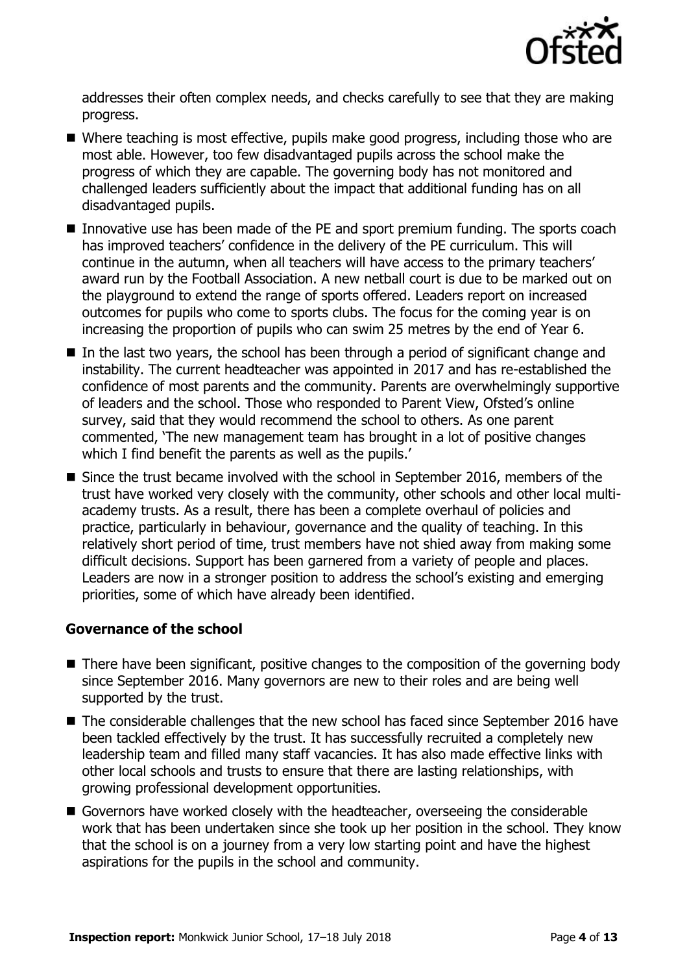

addresses their often complex needs, and checks carefully to see that they are making progress.

- Where teaching is most effective, pupils make good progress, including those who are most able. However, too few disadvantaged pupils across the school make the progress of which they are capable. The governing body has not monitored and challenged leaders sufficiently about the impact that additional funding has on all disadvantaged pupils.
- Innovative use has been made of the PE and sport premium funding. The sports coach has improved teachers' confidence in the delivery of the PE curriculum. This will continue in the autumn, when all teachers will have access to the primary teachers' award run by the Football Association. A new netball court is due to be marked out on the playground to extend the range of sports offered. Leaders report on increased outcomes for pupils who come to sports clubs. The focus for the coming year is on increasing the proportion of pupils who can swim 25 metres by the end of Year 6.
- $\blacksquare$  In the last two years, the school has been through a period of significant change and instability. The current headteacher was appointed in 2017 and has re-established the confidence of most parents and the community. Parents are overwhelmingly supportive of leaders and the school. Those who responded to Parent View, Ofsted's online survey, said that they would recommend the school to others. As one parent commented, 'The new management team has brought in a lot of positive changes which I find benefit the parents as well as the pupils.'
- Since the trust became involved with the school in September 2016, members of the trust have worked very closely with the community, other schools and other local multiacademy trusts. As a result, there has been a complete overhaul of policies and practice, particularly in behaviour, governance and the quality of teaching. In this relatively short period of time, trust members have not shied away from making some difficult decisions. Support has been garnered from a variety of people and places. Leaders are now in a stronger position to address the school's existing and emerging priorities, some of which have already been identified.

### **Governance of the school**

- There have been significant, positive changes to the composition of the governing body since September 2016. Many governors are new to their roles and are being well supported by the trust.
- The considerable challenges that the new school has faced since September 2016 have been tackled effectively by the trust. It has successfully recruited a completely new leadership team and filled many staff vacancies. It has also made effective links with other local schools and trusts to ensure that there are lasting relationships, with growing professional development opportunities.
- Governors have worked closely with the headteacher, overseeing the considerable work that has been undertaken since she took up her position in the school. They know that the school is on a journey from a very low starting point and have the highest aspirations for the pupils in the school and community.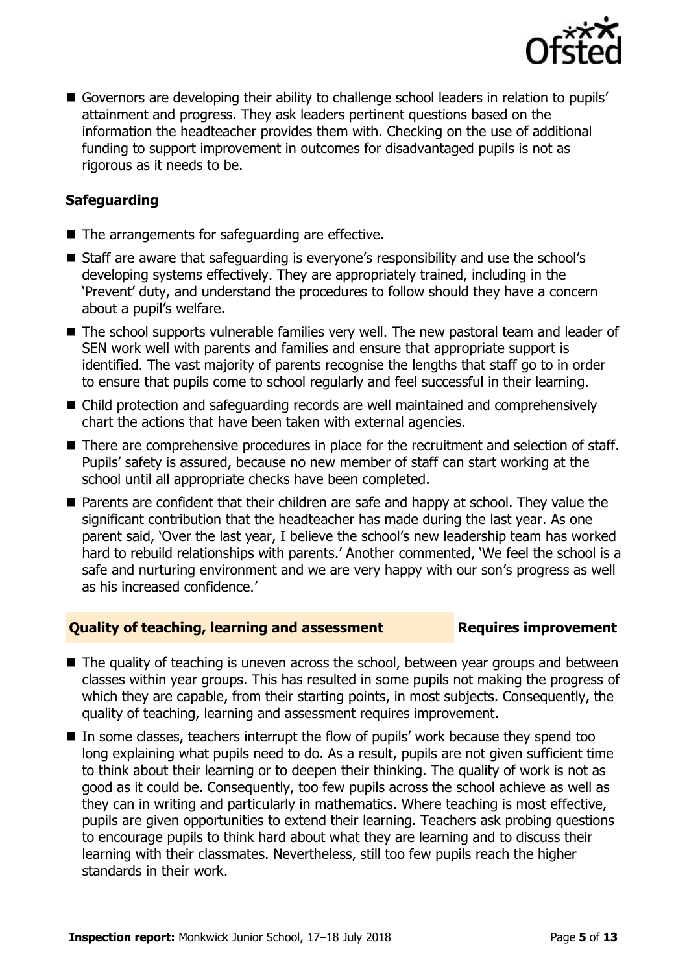

 Governors are developing their ability to challenge school leaders in relation to pupils' attainment and progress. They ask leaders pertinent questions based on the information the headteacher provides them with. Checking on the use of additional funding to support improvement in outcomes for disadvantaged pupils is not as rigorous as it needs to be.

### **Safeguarding**

- The arrangements for safeguarding are effective.
- Staff are aware that safeguarding is everyone's responsibility and use the school's developing systems effectively. They are appropriately trained, including in the 'Prevent' duty, and understand the procedures to follow should they have a concern about a pupil's welfare.
- The school supports vulnerable families very well. The new pastoral team and leader of SEN work well with parents and families and ensure that appropriate support is identified. The vast majority of parents recognise the lengths that staff go to in order to ensure that pupils come to school regularly and feel successful in their learning.
- Child protection and safeguarding records are well maintained and comprehensively chart the actions that have been taken with external agencies.
- There are comprehensive procedures in place for the recruitment and selection of staff. Pupils' safety is assured, because no new member of staff can start working at the school until all appropriate checks have been completed.
- **Parents are confident that their children are safe and happy at school. They value the** significant contribution that the headteacher has made during the last year. As one parent said, 'Over the last year, I believe the school's new leadership team has worked hard to rebuild relationships with parents.' Another commented, 'We feel the school is a safe and nurturing environment and we are very happy with our son's progress as well as his increased confidence.'

### **Quality of teaching, learning and assessment Requires improvement**

- The quality of teaching is uneven across the school, between year groups and between classes within year groups. This has resulted in some pupils not making the progress of which they are capable, from their starting points, in most subjects. Consequently, the quality of teaching, learning and assessment requires improvement.
- In some classes, teachers interrupt the flow of pupils' work because they spend too long explaining what pupils need to do. As a result, pupils are not given sufficient time to think about their learning or to deepen their thinking. The quality of work is not as good as it could be. Consequently, too few pupils across the school achieve as well as they can in writing and particularly in mathematics. Where teaching is most effective, pupils are given opportunities to extend their learning. Teachers ask probing questions to encourage pupils to think hard about what they are learning and to discuss their learning with their classmates. Nevertheless, still too few pupils reach the higher standards in their work.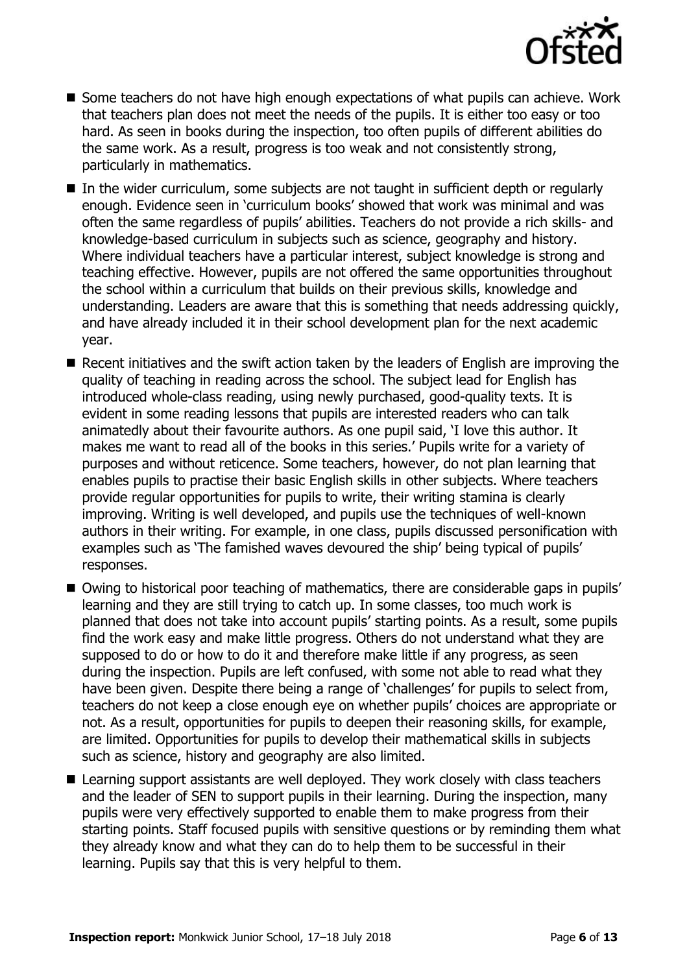

- Some teachers do not have high enough expectations of what pupils can achieve. Work that teachers plan does not meet the needs of the pupils. It is either too easy or too hard. As seen in books during the inspection, too often pupils of different abilities do the same work. As a result, progress is too weak and not consistently strong, particularly in mathematics.
- In the wider curriculum, some subjects are not taught in sufficient depth or regularly enough. Evidence seen in 'curriculum books' showed that work was minimal and was often the same regardless of pupils' abilities. Teachers do not provide a rich skills- and knowledge-based curriculum in subjects such as science, geography and history. Where individual teachers have a particular interest, subject knowledge is strong and teaching effective. However, pupils are not offered the same opportunities throughout the school within a curriculum that builds on their previous skills, knowledge and understanding. Leaders are aware that this is something that needs addressing quickly, and have already included it in their school development plan for the next academic year.
- Recent initiatives and the swift action taken by the leaders of English are improving the quality of teaching in reading across the school. The subject lead for English has introduced whole-class reading, using newly purchased, good-quality texts. It is evident in some reading lessons that pupils are interested readers who can talk animatedly about their favourite authors. As one pupil said, 'I love this author. It makes me want to read all of the books in this series.' Pupils write for a variety of purposes and without reticence. Some teachers, however, do not plan learning that enables pupils to practise their basic English skills in other subjects. Where teachers provide regular opportunities for pupils to write, their writing stamina is clearly improving. Writing is well developed, and pupils use the techniques of well-known authors in their writing. For example, in one class, pupils discussed personification with examples such as 'The famished waves devoured the ship' being typical of pupils' responses.
- Owing to historical poor teaching of mathematics, there are considerable gaps in pupils' learning and they are still trying to catch up. In some classes, too much work is planned that does not take into account pupils' starting points. As a result, some pupils find the work easy and make little progress. Others do not understand what they are supposed to do or how to do it and therefore make little if any progress, as seen during the inspection. Pupils are left confused, with some not able to read what they have been given. Despite there being a range of 'challenges' for pupils to select from, teachers do not keep a close enough eye on whether pupils' choices are appropriate or not. As a result, opportunities for pupils to deepen their reasoning skills, for example, are limited. Opportunities for pupils to develop their mathematical skills in subjects such as science, history and geography are also limited.
- Learning support assistants are well deployed. They work closely with class teachers and the leader of SEN to support pupils in their learning. During the inspection, many pupils were very effectively supported to enable them to make progress from their starting points. Staff focused pupils with sensitive questions or by reminding them what they already know and what they can do to help them to be successful in their learning. Pupils say that this is very helpful to them.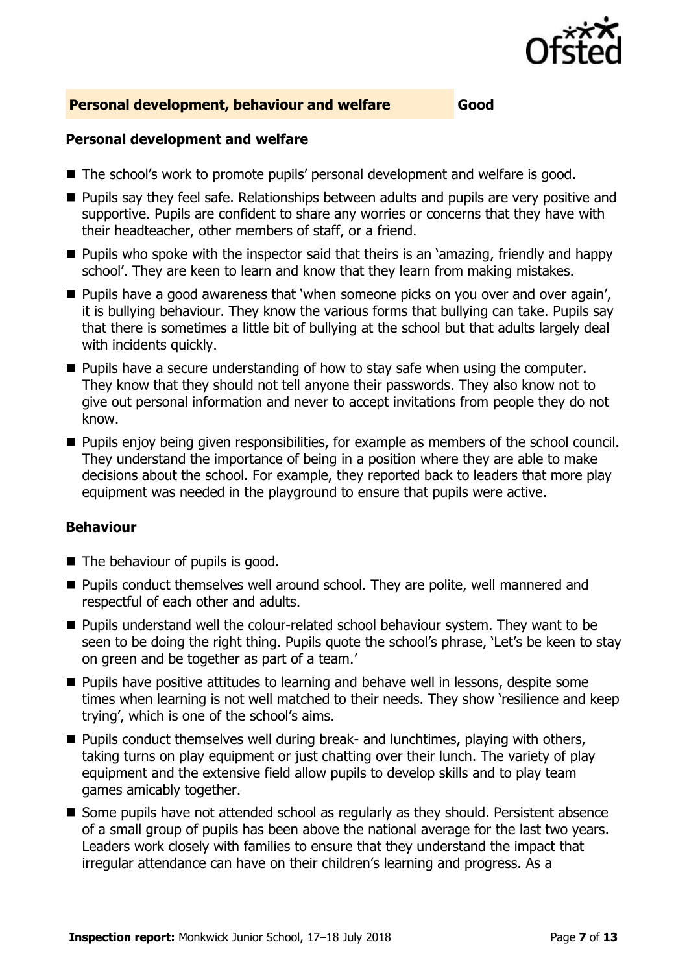

### **Personal development, behaviour and welfare Good**

### **Personal development and welfare**

- The school's work to promote pupils' personal development and welfare is good.
- **Pupils say they feel safe. Relationships between adults and pupils are very positive and** supportive. Pupils are confident to share any worries or concerns that they have with their headteacher, other members of staff, or a friend.
- **Pupils who spoke with the inspector said that theirs is an 'amazing, friendly and happy** school'. They are keen to learn and know that they learn from making mistakes.
- **Pupils have a good awareness that 'when someone picks on you over and over again',** it is bullying behaviour. They know the various forms that bullying can take. Pupils say that there is sometimes a little bit of bullying at the school but that adults largely deal with incidents quickly.
- **Pupils have a secure understanding of how to stay safe when using the computer.** They know that they should not tell anyone their passwords. They also know not to give out personal information and never to accept invitations from people they do not know.
- **Pupils enjoy being given responsibilities, for example as members of the school council.** They understand the importance of being in a position where they are able to make decisions about the school. For example, they reported back to leaders that more play equipment was needed in the playground to ensure that pupils were active.

### **Behaviour**

- The behaviour of pupils is good.
- **Pupils conduct themselves well around school. They are polite, well mannered and** respectful of each other and adults.
- **Pupils understand well the colour-related school behaviour system. They want to be** seen to be doing the right thing. Pupils quote the school's phrase, 'Let's be keen to stay on green and be together as part of a team.'
- **Pupils have positive attitudes to learning and behave well in lessons, despite some** times when learning is not well matched to their needs. They show 'resilience and keep trying', which is one of the school's aims.
- **Pupils conduct themselves well during break- and lunchtimes, playing with others,** taking turns on play equipment or just chatting over their lunch. The variety of play equipment and the extensive field allow pupils to develop skills and to play team games amicably together.
- Some pupils have not attended school as regularly as they should. Persistent absence of a small group of pupils has been above the national average for the last two years. Leaders work closely with families to ensure that they understand the impact that irregular attendance can have on their children's learning and progress. As a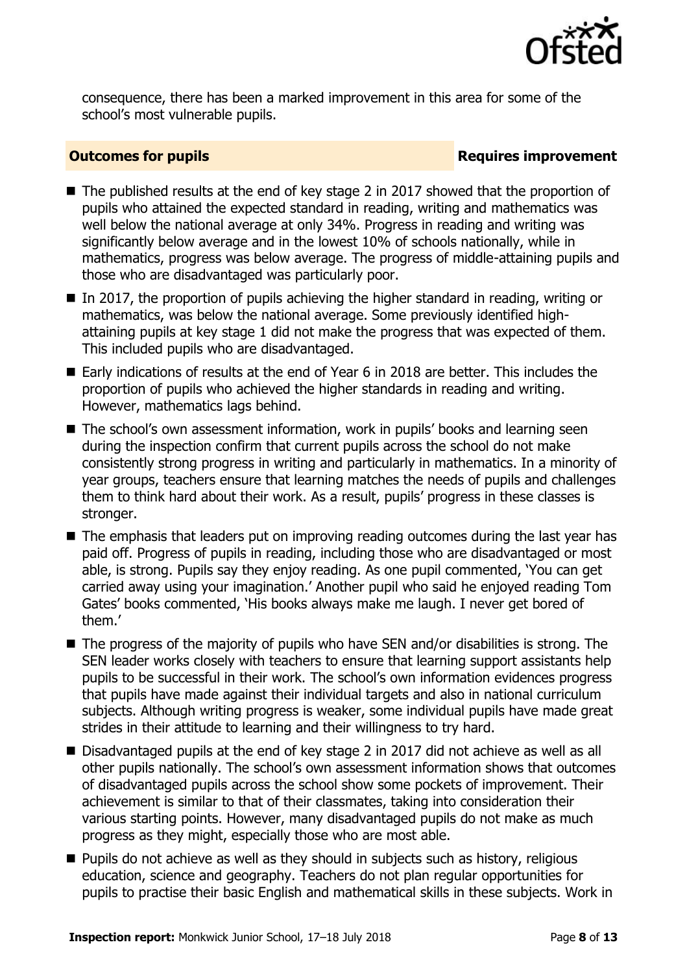

consequence, there has been a marked improvement in this area for some of the school's most vulnerable pupils.

### **Outcomes for pupils Requires improvement**

- The published results at the end of key stage 2 in 2017 showed that the proportion of pupils who attained the expected standard in reading, writing and mathematics was well below the national average at only 34%. Progress in reading and writing was significantly below average and in the lowest 10% of schools nationally, while in mathematics, progress was below average. The progress of middle-attaining pupils and those who are disadvantaged was particularly poor.
- $\blacksquare$  In 2017, the proportion of pupils achieving the higher standard in reading, writing or mathematics, was below the national average. Some previously identified highattaining pupils at key stage 1 did not make the progress that was expected of them. This included pupils who are disadvantaged.
- Early indications of results at the end of Year 6 in 2018 are better. This includes the proportion of pupils who achieved the higher standards in reading and writing. However, mathematics lags behind.
- The school's own assessment information, work in pupils' books and learning seen during the inspection confirm that current pupils across the school do not make consistently strong progress in writing and particularly in mathematics. In a minority of year groups, teachers ensure that learning matches the needs of pupils and challenges them to think hard about their work. As a result, pupils' progress in these classes is stronger.
- The emphasis that leaders put on improving reading outcomes during the last year has paid off. Progress of pupils in reading, including those who are disadvantaged or most able, is strong. Pupils say they enjoy reading. As one pupil commented, 'You can get carried away using your imagination.' Another pupil who said he enjoyed reading Tom Gates' books commented, 'His books always make me laugh. I never get bored of them.'
- $\blacksquare$  The progress of the majority of pupils who have SEN and/or disabilities is strong. The SEN leader works closely with teachers to ensure that learning support assistants help pupils to be successful in their work. The school's own information evidences progress that pupils have made against their individual targets and also in national curriculum subjects. Although writing progress is weaker, some individual pupils have made great strides in their attitude to learning and their willingness to try hard.
- Disadvantaged pupils at the end of key stage 2 in 2017 did not achieve as well as all other pupils nationally. The school's own assessment information shows that outcomes of disadvantaged pupils across the school show some pockets of improvement. Their achievement is similar to that of their classmates, taking into consideration their various starting points. However, many disadvantaged pupils do not make as much progress as they might, especially those who are most able.
- **Pupils do not achieve as well as they should in subjects such as history, religious** education, science and geography. Teachers do not plan regular opportunities for pupils to practise their basic English and mathematical skills in these subjects. Work in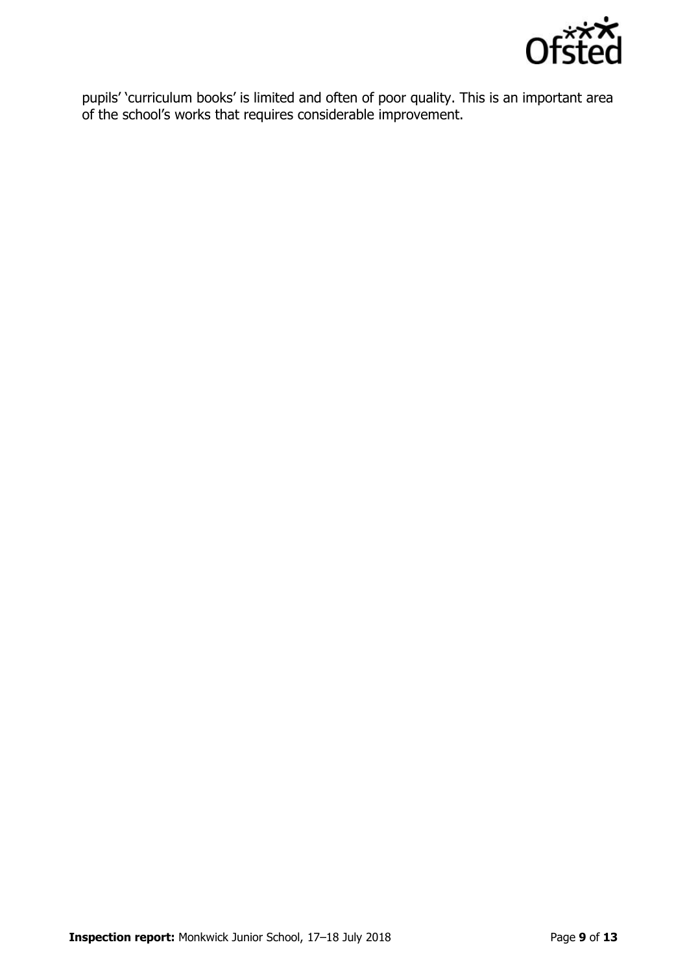

pupils' 'curriculum books' is limited and often of poor quality. This is an important area of the school's works that requires considerable improvement.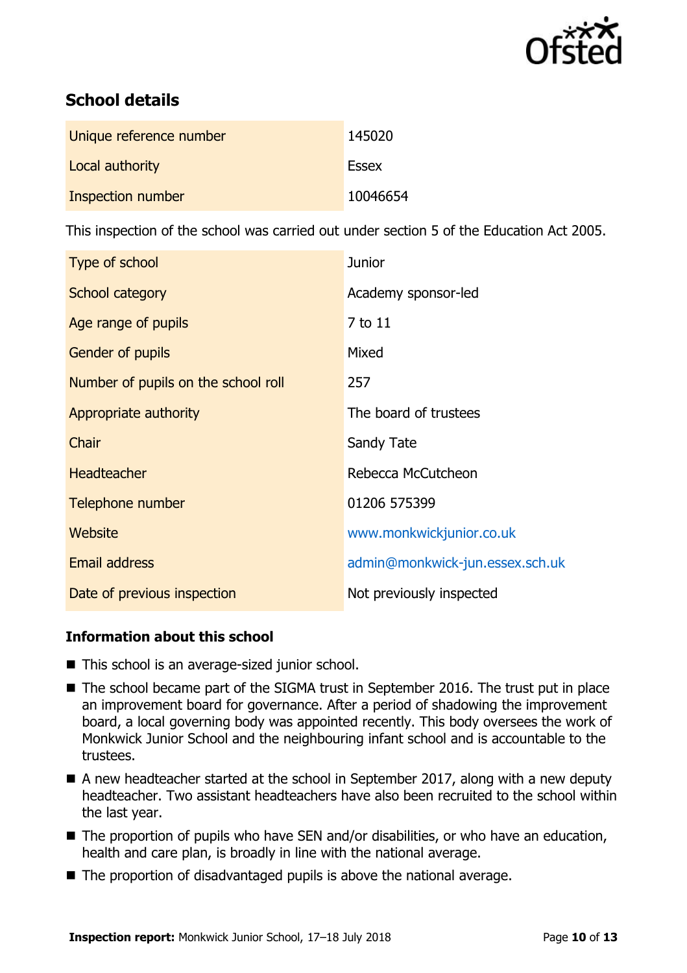

# **School details**

| Unique reference number | 145020       |
|-------------------------|--------------|
| Local authority         | <b>Essex</b> |
| Inspection number       | 10046654     |

This inspection of the school was carried out under section 5 of the Education Act 2005.

| Type of school                      | <b>Junior</b>                   |
|-------------------------------------|---------------------------------|
| School category                     | Academy sponsor-led             |
| Age range of pupils                 | 7 to 11                         |
| <b>Gender of pupils</b>             | Mixed                           |
| Number of pupils on the school roll | 257                             |
| Appropriate authority               | The board of trustees           |
| Chair                               | Sandy Tate                      |
| <b>Headteacher</b>                  | Rebecca McCutcheon              |
| Telephone number                    | 01206 575399                    |
| Website                             | www.monkwickjunior.co.uk        |
| <b>Email address</b>                | admin@monkwick-jun.essex.sch.uk |
| Date of previous inspection         | Not previously inspected        |

### **Information about this school**

- This school is an average-sized junior school.
- The school became part of the SIGMA trust in September 2016. The trust put in place an improvement board for governance. After a period of shadowing the improvement board, a local governing body was appointed recently. This body oversees the work of Monkwick Junior School and the neighbouring infant school and is accountable to the trustees.
- $\blacksquare$  A new headteacher started at the school in September 2017, along with a new deputy headteacher. Two assistant headteachers have also been recruited to the school within the last year.
- The proportion of pupils who have SEN and/or disabilities, or who have an education, health and care plan, is broadly in line with the national average.
- The proportion of disadvantaged pupils is above the national average.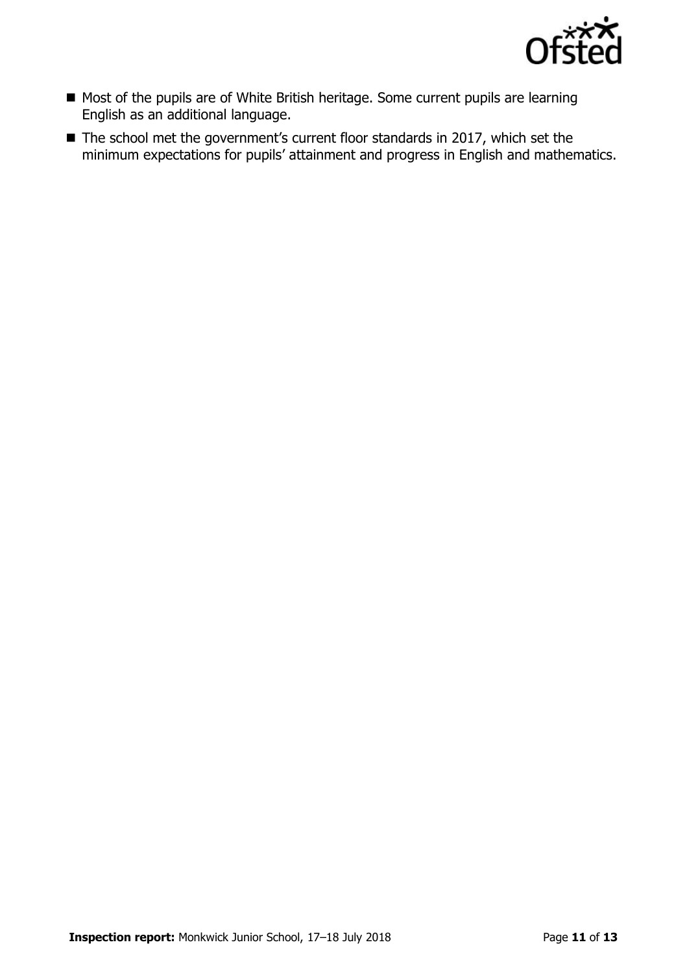

- Most of the pupils are of White British heritage. Some current pupils are learning English as an additional language.
- The school met the government's current floor standards in 2017, which set the minimum expectations for pupils' attainment and progress in English and mathematics.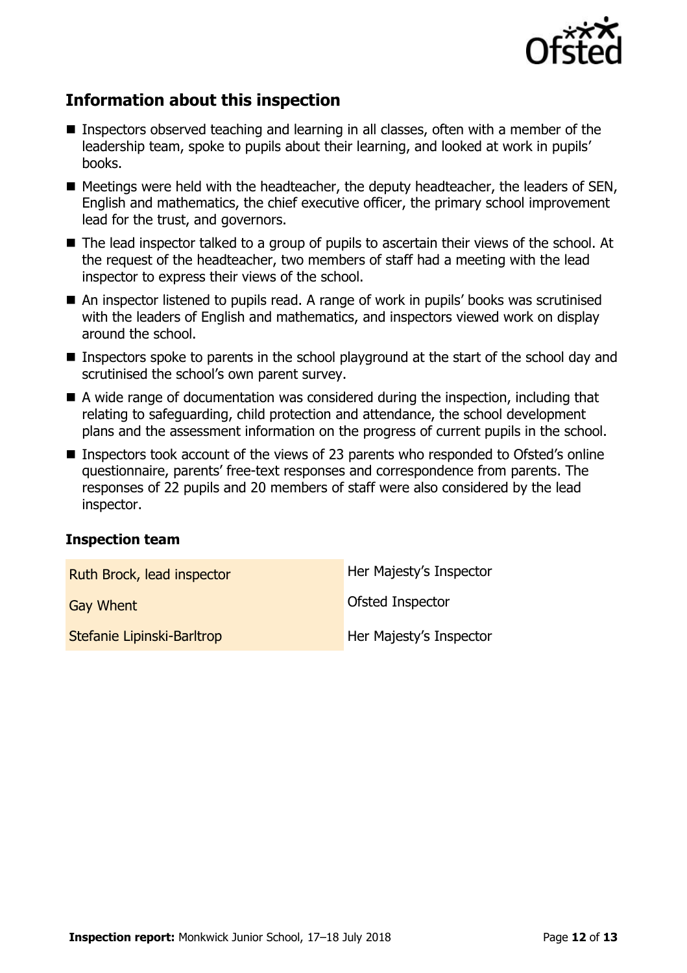

# **Information about this inspection**

- Inspectors observed teaching and learning in all classes, often with a member of the leadership team, spoke to pupils about their learning, and looked at work in pupils' books.
- $\blacksquare$  Meetings were held with the headteacher, the deputy headteacher, the leaders of SEN, English and mathematics, the chief executive officer, the primary school improvement lead for the trust, and governors.
- The lead inspector talked to a group of pupils to ascertain their views of the school. At the request of the headteacher, two members of staff had a meeting with the lead inspector to express their views of the school.
- An inspector listened to pupils read. A range of work in pupils' books was scrutinised with the leaders of English and mathematics, and inspectors viewed work on display around the school.
- Inspectors spoke to parents in the school playground at the start of the school day and scrutinised the school's own parent survey.
- A wide range of documentation was considered during the inspection, including that relating to safeguarding, child protection and attendance, the school development plans and the assessment information on the progress of current pupils in the school.
- Inspectors took account of the views of 23 parents who responded to Ofsted's online questionnaire, parents' free-text responses and correspondence from parents. The responses of 22 pupils and 20 members of staff were also considered by the lead inspector.

### **Inspection team**

| Ruth Brock, lead inspector | Her Majesty's Inspector |
|----------------------------|-------------------------|
| <b>Gay Whent</b>           | Ofsted Inspector        |
| Stefanie Lipinski-Barltrop | Her Majesty's Inspector |